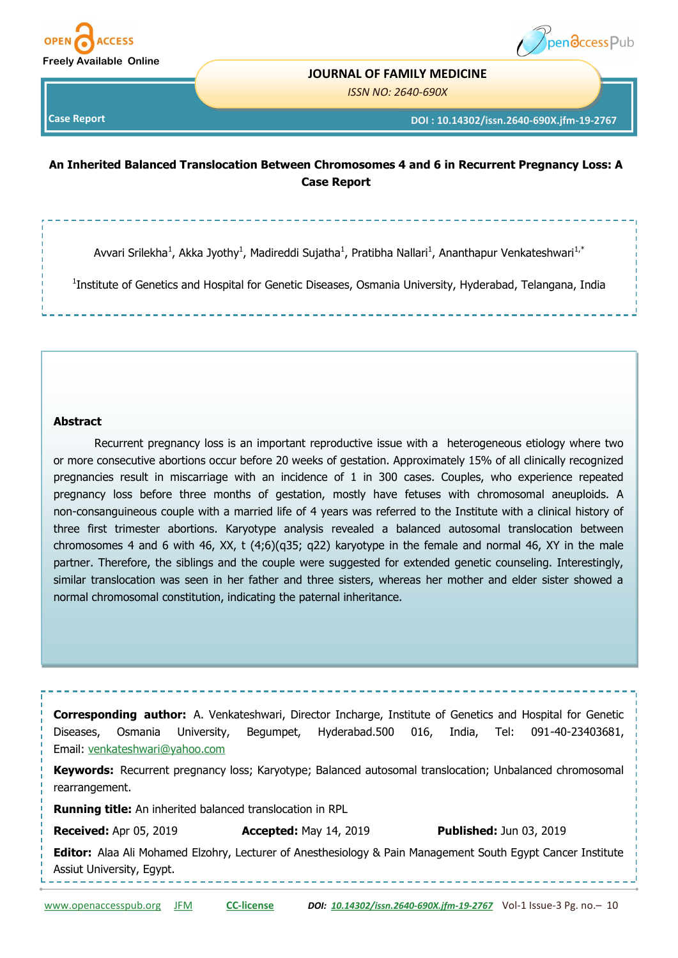



#### **JOURNAL OF FAMILY MEDICINE**

*ISSN NO: 2640-690X* 

**Case Report** 

**DOI : 10.14302/issn.2640-690X.jfm-19-2767**

# **An Inherited Balanced Translocation Between Chromosomes 4 and 6 in Recurrent Pregnancy Loss: A Case Report**

Avvari Srilekha<sup>1</sup>, Akka Jyothy<sup>1</sup>, Madireddi Sujatha<sup>1</sup>, Pratibha Nallari<sup>1</sup>, Ananthapur Venkateshwari<sup>1,\*</sup>

<sup>1</sup>Institute of Genetics and Hospital for Genetic Diseases, Osmania University, Hyderabad, Telangana, India

#### **Abstract**

Recurrent pregnancy loss is an important reproductive issue with a heterogeneous etiology where two or more consecutive abortions occur before 20 weeks of gestation. Approximately 15% of all clinically recognized pregnancies result in miscarriage with an incidence of 1 in 300 cases. Couples, who experience repeated pregnancy loss before three months of gestation, mostly have fetuses with chromosomal aneuploids. A non-consanguineous couple with a married life of 4 years was referred to the Institute with a clinical history of three first trimester abortions. Karyotype analysis revealed a balanced autosomal translocation between chromosomes 4 and 6 with 46, XX, t (4;6)(q35; q22) karyotype in the female and normal 46, XY in the male partner. Therefore, the siblings and the couple were suggested for extended genetic counseling. Interestingly, similar translocation was seen in her father and three sisters, whereas her mother and elder sister showed a normal chromosomal constitution, indicating the paternal inheritance.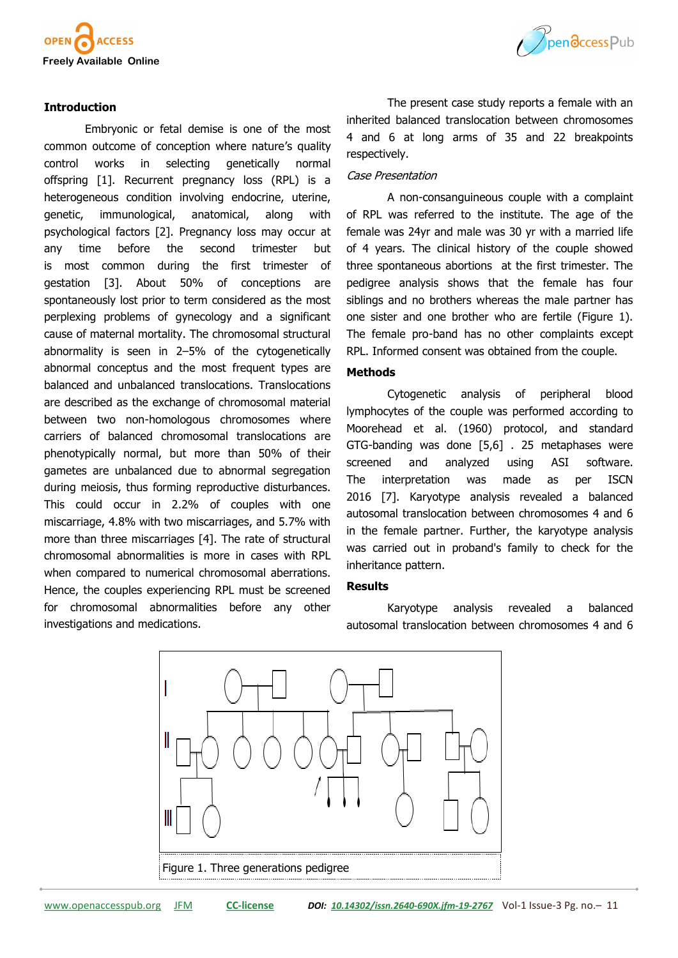

# **Introduction**

Embryonic or fetal demise is one of the most common outcome of conception where nature's quality control works in selecting genetically normal offspring [1]. Recurrent pregnancy loss (RPL) is a heterogeneous condition involving endocrine, uterine, genetic, immunological, anatomical, along with psychological factors [2]. Pregnancy loss may occur at any time before the second trimester but is most common during the first trimester of gestation [3]. About 50% of conceptions are spontaneously lost prior to term considered as the most perplexing problems of gynecology and a significant cause of maternal mortality. The chromosomal structural abnormality is seen in 2–5% of the cytogenetically abnormal conceptus and the most frequent types are balanced and unbalanced translocations. Translocations are described as the exchange of chromosomal material between two non-homologous chromosomes where carriers of balanced chromosomal translocations are phenotypically normal, but more than 50% of their gametes are unbalanced due to abnormal segregation during meiosis, thus forming reproductive disturbances. This could occur in 2.2% of couples with one miscarriage, 4.8% with two miscarriages, and 5.7% with more than three miscarriages [4]. The rate of structural chromosomal abnormalities is more in cases with RPL when compared to numerical chromosomal aberrations. Hence, the couples experiencing RPL must be screened for chromosomal abnormalities before any other investigations and medications.



The present case study reports a female with an inherited balanced translocation between chromosomes 4 and 6 at long arms of 35 and 22 breakpoints respectively.

#### Case Presentation

A non-consanguineous couple with a complaint of RPL was referred to the institute. The age of the female was 24yr and male was 30 yr with a married life of 4 years. The clinical history of the couple showed three spontaneous abortions at the first trimester. The pedigree analysis shows that the female has four siblings and no brothers whereas the male partner has one sister and one brother who are fertile (Figure 1). The female pro-band has no other complaints except RPL. Informed consent was obtained from the couple.

## **Methods**

Cytogenetic analysis of peripheral blood lymphocytes of the couple was performed according to Moorehead et al. (1960) protocol, and standard GTG-banding was done [5,6] . 25 metaphases were screened and analyzed using ASI software. The interpretation was made as per ISCN 2016 [7]. Karyotype analysis revealed a balanced autosomal translocation between chromosomes 4 and 6 in the female partner. Further, the karyotype analysis was carried out in proband's family to check for the inheritance pattern.

### **Results**

Karyotype analysis revealed a balanced autosomal translocation between chromosomes 4 and 6

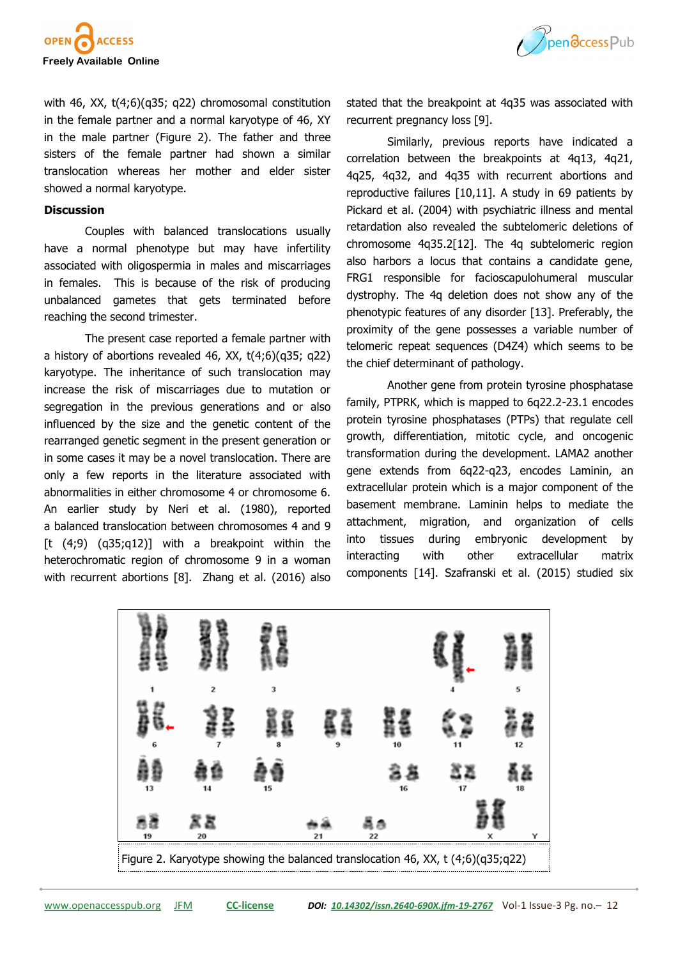



with 46, XX, t(4;6)(q35; q22) chromosomal constitution in the female partner and a normal karyotype of 46, XY in the male partner (Figure 2). The father and three sisters of the female partner had shown a similar translocation whereas her mother and elder sister showed a normal karyotype.

#### **Discussion**

Couples with balanced translocations usually have a normal phenotype but may have infertility associated with oligospermia in males and miscarriages in females. This is because of the risk of producing unbalanced gametes that gets terminated before reaching the second trimester.

The present case reported a female partner with a history of abortions revealed 46, XX,  $t(4;6)(q35; q22)$ karyotype. The inheritance of such translocation may increase the risk of miscarriages due to mutation or segregation in the previous generations and or also influenced by the size and the genetic content of the rearranged genetic segment in the present generation or in some cases it may be a novel translocation. There are only a few reports in the literature associated with abnormalities in either chromosome 4 or chromosome 6. An earlier study by Neri et al. (1980), reported a balanced translocation between chromosomes 4 and 9  $[t (4, 9) (q35, q12)]$  with a breakpoint within the heterochromatic region of chromosome 9 in a woman with recurrent abortions [8]. Zhang et al. (2016) also

stated that the breakpoint at 4q35 was associated with recurrent pregnancy loss [9].

Similarly, previous reports have indicated a correlation between the breakpoints at 4q13, 4q21, 4q25, 4q32, and 4q35 with recurrent abortions and reproductive failures [10,11]. A study in 69 patients by Pickard et al. (2004) with psychiatric illness and mental retardation also revealed the subtelomeric deletions of chromosome 4q35.2[12]. The 4q subtelomeric region also harbors a locus that contains a candidate gene, FRG1 responsible for facioscapulohumeral muscular dystrophy. The 4q deletion does not show any of the phenotypic features of any disorder [13]. Preferably, the proximity of the gene possesses a variable number of telomeric repeat sequences (D4Z4) which seems to be the chief determinant of pathology.

Another gene from protein tyrosine phosphatase family, PTPRK, which is mapped to 6q22.2-23.1 encodes protein tyrosine phosphatases (PTPs) that regulate cell growth, differentiation, mitotic cycle, and oncogenic transformation during the development. LAMA2 another gene extends from 6q22-q23, encodes Laminin, an extracellular protein which is a major component of the basement membrane. Laminin helps to mediate the attachment, migration, and organization of cells into tissues during embryonic development by interacting with other extracellular matrix components [14]. Szafranski et al. (2015) studied six

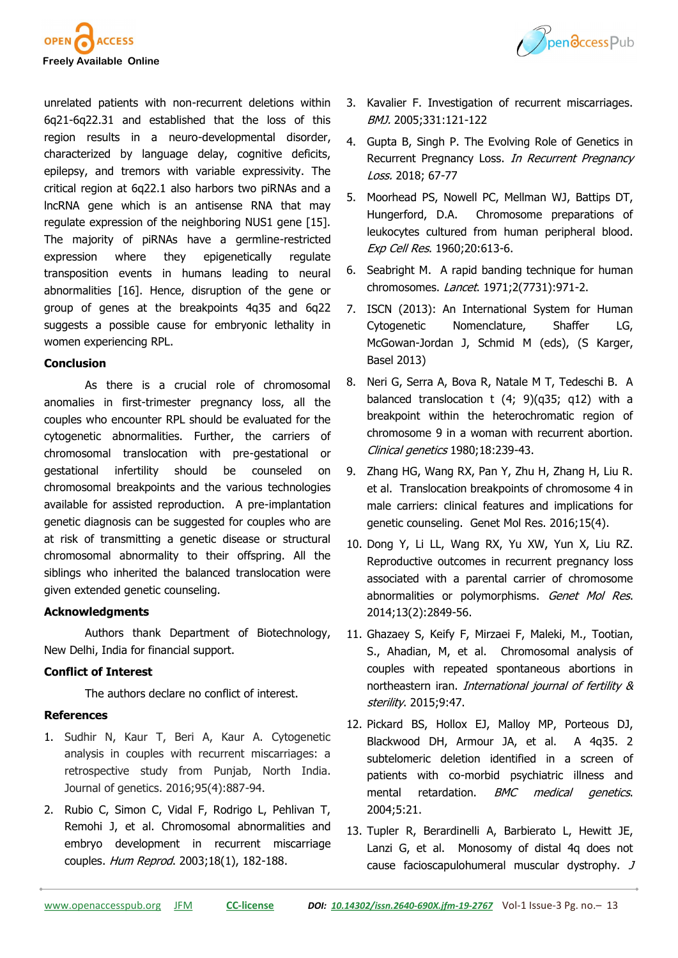



unrelated patients with non-recurrent deletions within 6q21-6q22.31 and established that the loss of this region results in a neuro-developmental disorder, characterized by language delay, cognitive deficits, epilepsy, and tremors with variable expressivity. The critical region at 6q22.1 also harbors two piRNAs and a lncRNA gene which is an antisense RNA that may regulate expression of the neighboring NUS1 gene [15]. The majority of piRNAs have a germline-restricted expression where they epigenetically regulate transposition events in humans leading to neural abnormalities [16]. Hence, disruption of the gene or group of genes at the breakpoints 4q35 and 6q22 suggests a possible cause for embryonic lethality in women experiencing RPL.

#### **Conclusion**

As there is a crucial role of chromosomal anomalies in first-trimester pregnancy loss, all the couples who encounter RPL should be evaluated for the cytogenetic abnormalities. Further, the carriers of chromosomal translocation with pre-gestational or gestational infertility should be counseled on chromosomal breakpoints and the various technologies available for assisted reproduction. A pre-implantation genetic diagnosis can be suggested for couples who are at risk of transmitting a genetic disease or structural chromosomal abnormality to their offspring. All the siblings who inherited the balanced translocation were given extended genetic counseling.

# **Acknowledgments**

Authors thank Department of Biotechnology, New Delhi, India for financial support.

# **Conflict of Interest**

The authors declare no conflict of interest.

# **References**

- 1. Sudhir N, Kaur T, Beri A, Kaur A. Cytogenetic analysis in couples with recurrent miscarriages: a retrospective study from Punjab, North India. Journal of genetics. 2016;95(4):887-94.
- 2. Rubio C, Simon C, Vidal F, Rodrigo L, Pehlivan T, Remohi J, et al. Chromosomal abnormalities and embryo development in recurrent miscarriage couples. Hum Reprod. 2003;18(1), 182-188.
- 3. Kavalier F. Investigation of recurrent miscarriages. BMJ. 2005;331:121-122
- 4. Gupta B, Singh P. The Evolving Role of Genetics in Recurrent Pregnancy Loss. In Recurrent Pregnancy Loss. 2018; 67-77
- 5. Moorhead PS, Nowell PC, Mellman WJ, Battips DT, Hungerford, D.A. Chromosome preparations of leukocytes cultured from human peripheral blood. Exp Cell Res. 1960;20:613-6.
- 6. Seabright M. A rapid banding technique for human chromosomes. Lancet. 1971;2(7731):971-2.
- 7. ISCN (2013): An International System for Human Cytogenetic Nomenclature, Shaffer LG, McGowan-Jordan J, Schmid M (eds), (S Karger, Basel 2013)
- 8. Neri G, Serra A, Bova R, Natale M T, Tedeschi B. A balanced translocation t (4; 9)(q35; q12) with a breakpoint within the heterochromatic region of chromosome 9 in a woman with recurrent abortion. Clinical genetics 1980;18:239-43.
- 9. Zhang HG, Wang RX, Pan Y, Zhu H, Zhang H, Liu R. et al. Translocation breakpoints of chromosome 4 in male carriers: clinical features and implications for genetic counseling. Genet Mol Res. 2016;15(4).
- 10. Dong Y, Li LL, Wang RX, Yu XW, Yun X, Liu RZ. Reproductive outcomes in recurrent pregnancy loss associated with a parental carrier of chromosome abnormalities or polymorphisms. Genet Mol Res. 2014;13(2):2849-56.
- 11. Ghazaey S, Keify F, Mirzaei F, Maleki, M., Tootian, S., Ahadian, M, et al. Chromosomal analysis of couples with repeated spontaneous abortions in northeastern iran. International journal of fertility & sterility. 2015;9:47.
- 12. Pickard BS, Hollox EJ, Malloy MP, Porteous DJ, Blackwood DH, Armour JA, et al. A 4q35. 2 subtelomeric deletion identified in a screen of patients with co-morbid psychiatric illness and mental retardation. BMC medical genetics. 2004;5:21.
- 13. Tupler R, Berardinelli A, Barbierato L, Hewitt JE, Lanzi G, et al. Monosomy of distal 4q does not cause facioscapulohumeral muscular dystrophy. J